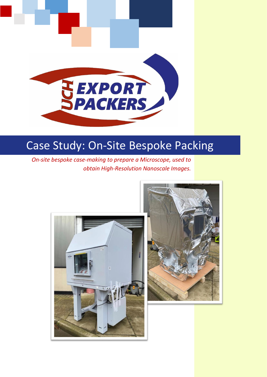

# Case Study: On-Site Bespoke Packing

*On-site bespoke case-making to prepare a Microscope, used to obtain High-Resolution Nanoscale Images.*